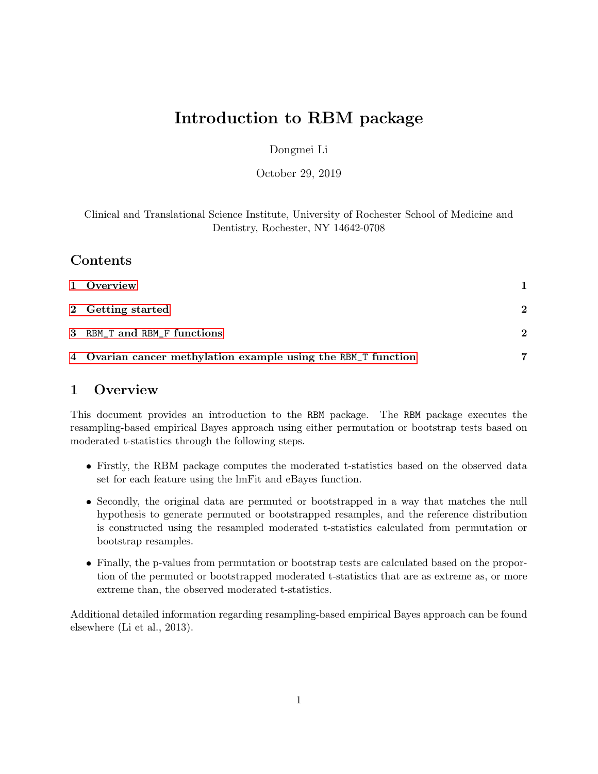# Introduction to RBM package

#### Dongmei Li

October 29, 2019

Clinical and Translational Science Institute, University of Rochester School of Medicine and Dentistry, Rochester, NY 14642-0708

## Contents

| 1 Overview                                                    |          |
|---------------------------------------------------------------|----------|
| 2 Getting started                                             | $\bf{2}$ |
| 3 RBM_T and RBM_F functions                                   | $\bf{2}$ |
| 4 Ovarian cancer methylation example using the RBM_T function |          |

## <span id="page-0-0"></span>1 Overview

This document provides an introduction to the RBM package. The RBM package executes the resampling-based empirical Bayes approach using either permutation or bootstrap tests based on moderated t-statistics through the following steps.

- Firstly, the RBM package computes the moderated t-statistics based on the observed data set for each feature using the lmFit and eBayes function.
- Secondly, the original data are permuted or bootstrapped in a way that matches the null hypothesis to generate permuted or bootstrapped resamples, and the reference distribution is constructed using the resampled moderated t-statistics calculated from permutation or bootstrap resamples.
- Finally, the p-values from permutation or bootstrap tests are calculated based on the proportion of the permuted or bootstrapped moderated t-statistics that are as extreme as, or more extreme than, the observed moderated t-statistics.

Additional detailed information regarding resampling-based empirical Bayes approach can be found elsewhere (Li et al., 2013).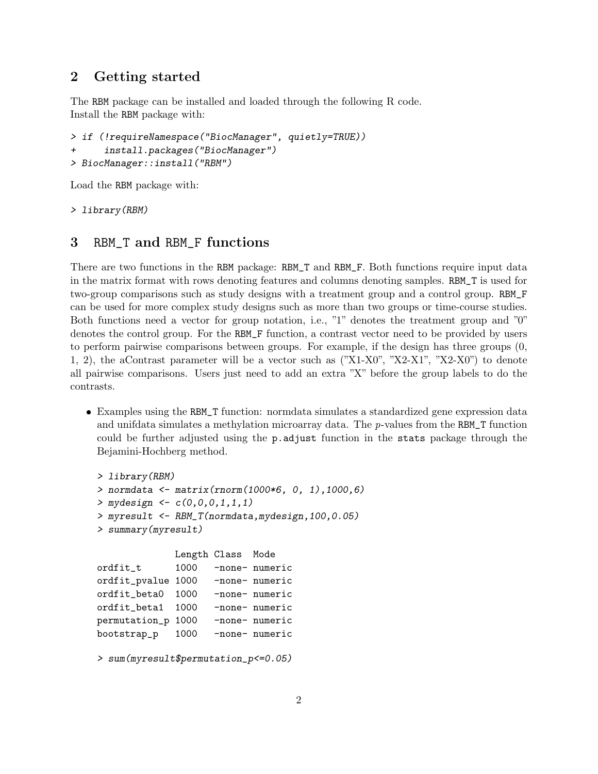# <span id="page-1-0"></span>2 Getting started

The RBM package can be installed and loaded through the following R code. Install the RBM package with:

```
> if (!requireNamespace("BiocManager", quietly=TRUE))
+ install.packages("BiocManager")
> BiocManager::install("RBM")
```
Load the RBM package with:

> library(RBM)

## <span id="page-1-1"></span>3 RBM\_T and RBM\_F functions

There are two functions in the RBM package: RBM\_T and RBM\_F. Both functions require input data in the matrix format with rows denoting features and columns denoting samples. RBM\_T is used for two-group comparisons such as study designs with a treatment group and a control group. RBM\_F can be used for more complex study designs such as more than two groups or time-course studies. Both functions need a vector for group notation, i.e., "1" denotes the treatment group and "0" denotes the control group. For the RBM\_F function, a contrast vector need to be provided by users to perform pairwise comparisons between groups. For example, if the design has three groups (0, 1, 2), the aContrast parameter will be a vector such as ("X1-X0", "X2-X1", "X2-X0") to denote all pairwise comparisons. Users just need to add an extra "X" before the group labels to do the contrasts.

 Examples using the RBM\_T function: normdata simulates a standardized gene expression data and unifdata simulates a methylation microarray data. The p-values from the RBM\_T function could be further adjusted using the p.adjust function in the stats package through the Bejamini-Hochberg method.

```
> library(RBM)
> normdata <- matrix(rnorm(1000*6, 0, 1),1000,6)
> mydesign <- c(0,0,0,1,1,1)> myresult <- RBM_T(normdata,mydesign,100,0.05)
> summary(myresult)
             Length Class Mode
ordfit_t 1000 -none- numeric
ordfit_pvalue 1000 -none- numeric
ordfit_beta0 1000 -none- numeric
ordfit_beta1 1000 -none- numeric
permutation_p 1000 -none- numeric
bootstrap_p 1000 -none- numeric
```

```
> sum(myresult$permutation_p<=0.05)
```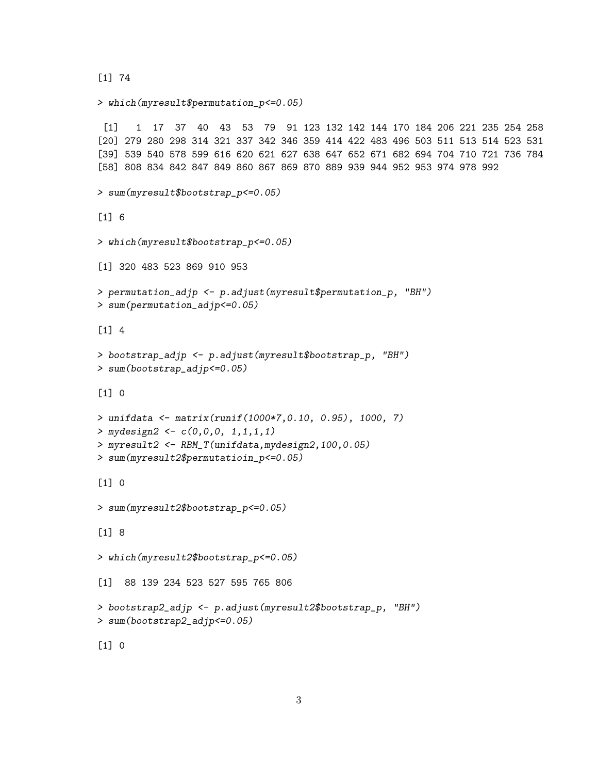```
[1] 74
```

```
[1] 1 17 37 40 43 53 79 91 123 132 142 144 170 184 206 221 235 254 258
[20] 279 280 298 314 321 337 342 346 359 414 422 483 496 503 511 513 514 523 531
[39] 539 540 578 599 616 620 621 627 638 647 652 671 682 694 704 710 721 736 784
[58] 808 834 842 847 849 860 867 869 870 889 939 944 952 953 974 978 992
> sum(myresult$bootstrap_p<=0.05)
\lceil 1 \rceil 6
> which(myresult$bootstrap_p<=0.05)
[1] 320 483 523 869 910 953
> permutation_adjp <- p.adjust(myresult$permutation_p, "BH")
> sum(permutation_adjp<=0.05)
```
> which(myresult\$permutation\_p<=0.05)

 $\lceil 1 \rceil$  4

```
> bootstrap_adjp <- p.adjust(myresult$bootstrap_p, "BH")
> sum(bootstrap_adjp<=0.05)
```
[1] 0

```
> unifdata <- matrix(runif(1000*7,0.10, 0.95), 1000, 7)
> mydesign2 <- c(0,0,0, 1,1,1,1)> myresult2 <- RBM_T(unifdata,mydesign2,100,0.05)
> sum(myresult2$permutatioin_p<=0.05)
```
 $[1] 0$ 

```
> sum(myresult2$bootstrap_p<=0.05)
```
[1] 8

```
> which(myresult2$bootstrap_p<=0.05)
```
[1] 88 139 234 523 527 595 765 806

```
> bootstrap2_adjp <- p.adjust(myresult2$bootstrap_p, "BH")
> sum(bootstrap2_adjp<=0.05)
```
[1] 0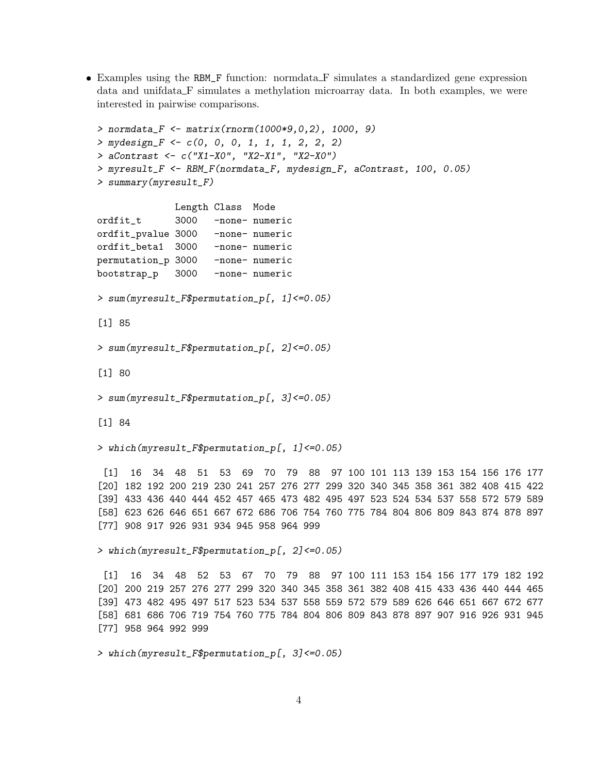Examples using the RBM\_F function: normdata F simulates a standardized gene expression data and unifdata F simulates a methylation microarray data. In both examples, we were interested in pairwise comparisons.

```
> normdata_F <- matrix(rnorm(1000*9,0,2), 1000, 9)
> mydesign_F <- c(0, 0, 0, 1, 1, 1, 2, 2, 2)
> aContrast <- c("X1-X0", "X2-X1", "X2-X0")
> myresult_F <- RBM_F(normdata_F, mydesign_F, aContrast, 100, 0.05)
> summary(myresult_F)
             Length Class Mode
ordfit_t 3000 -none- numeric
ordfit_pvalue 3000 -none- numeric
ordfit_beta1 3000 -none- numeric
permutation_p 3000 -none- numeric
bootstrap_p 3000 -none- numeric
> sum(myresult_F$permutation_p[, 1]<=0.05)
[1] 85
> sum(myresult_F$permutation_p[, 2]<=0.05)
[1] 80
> sum(myresult_F$permutation_p[, 3]<=0.05)
[1] 84
> which(myresult_F$permutation_p[, 1]<=0.05)
 [1] 16 34 48 51 53 69 70 79 88 97 100 101 113 139 153 154 156 176 177
[20] 182 192 200 219 230 241 257 276 277 299 320 340 345 358 361 382 408 415 422
[39] 433 436 440 444 452 457 465 473 482 495 497 523 524 534 537 558 572 579 589
[58] 623 626 646 651 667 672 686 706 754 760 775 784 804 806 809 843 874 878 897
[77] 908 917 926 931 934 945 958 964 999
> which(myresult_F$permutation_p[, 2]<=0.05)
 [1] 16 34 48 52 53 67 70 79 88 97 100 111 153 154 156 177 179 182 192
[20] 200 219 257 276 277 299 320 340 345 358 361 382 408 415 433 436 440 444 465
[39] 473 482 495 497 517 523 534 537 558 559 572 579 589 626 646 651 667 672 677
[58] 681 686 706 719 754 760 775 784 804 806 809 843 878 897 907 916 926 931 945
[77] 958 964 992 999
> which(myresult_F$permutation_p[, 3]<=0.05)
```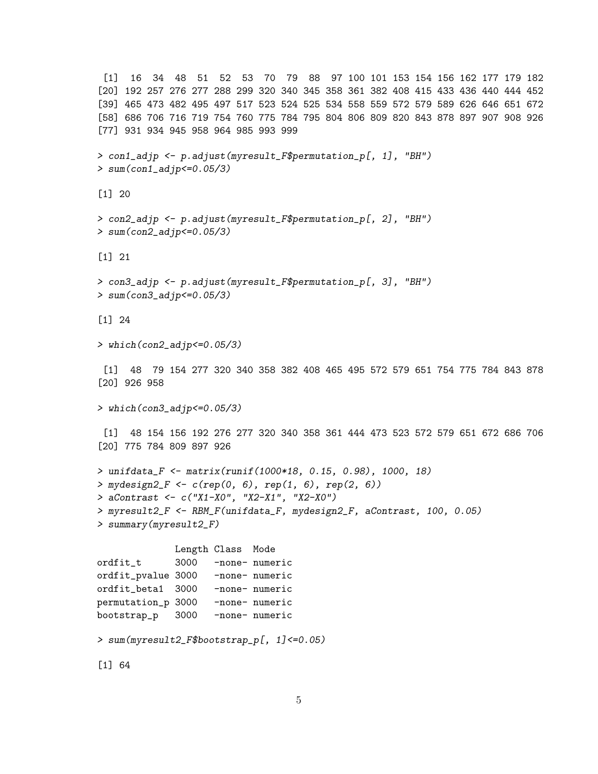```
[1] 16 34 48 51 52 53 70 79 88 97 100 101 153 154 156 162 177 179 182
[20] 192 257 276 277 288 299 320 340 345 358 361 382 408 415 433 436 440 444 452
[39] 465 473 482 495 497 517 523 524 525 534 558 559 572 579 589 626 646 651 672
[58] 686 706 716 719 754 760 775 784 795 804 806 809 820 843 878 897 907 908 926
[77] 931 934 945 958 964 985 993 999
> con1_adjp <- p.adjust(myresult_F$permutation_p[, 1], "BH")
> sum(con1_adjp<=0.05/3)
[1] 20
> con2_adjp <- p.adjust(myresult_F$permutation_p[, 2], "BH")
> sum(con2_adjp<=0.05/3)
[1] 21
> con3_adjp <- p.adjust(myresult_F$permutation_p[, 3], "BH")
> sum(con3_adjp<=0.05/3)
[1] 24
> which(con2_adjp<=0.05/3)
 [1] 48 79 154 277 320 340 358 382 408 465 495 572 579 651 754 775 784 843 878
[20] 926 958
> which(con3_adjp<=0.05/3)
 [1] 48 154 156 192 276 277 320 340 358 361 444 473 523 572 579 651 672 686 706
[20] 775 784 809 897 926
> unifdata_F <- matrix(runif(1000*18, 0.15, 0.98), 1000, 18)
> mydesign2_F <- c(rep(0, 6), rep(1, 6), rep(2, 6))
> aContrast <- c("X1-X0", "X2-X1", "X2-X0")
> myresult2_F <- RBM_F(unifdata_F, mydesign2_F, aContrast, 100, 0.05)
> summary(myresult2_F)
             Length Class Mode
ordfit_t 3000 -none- numeric
ordfit_pvalue 3000 -none- numeric
ordfit_beta1 3000 -none- numeric
permutation_p 3000 -none- numeric
bootstrap_p 3000 -none- numeric
> sum(myresult2_F$bootstrap_p[, 1]<=0.05)
[1] 64
```

```
5
```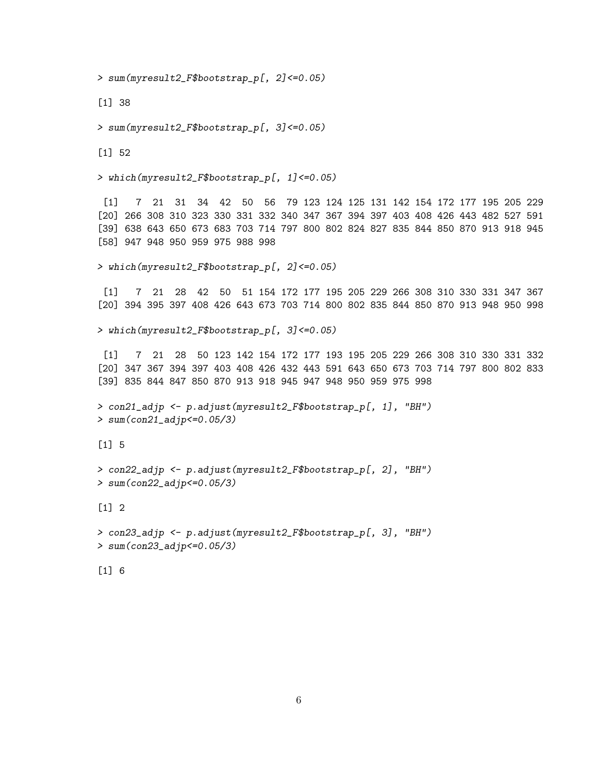> sum(myresult2\_F\$bootstrap\_p[, 2]<=0.05)

[1] 38

> sum(myresult2\_F\$bootstrap\_p[, 3]<=0.05)

[1] 52

> which(myresult2\_F\$bootstrap\_p[, 1]<=0.05)

[1] 7 21 31 34 42 50 56 79 123 124 125 131 142 154 172 177 195 205 229 [20] 266 308 310 323 330 331 332 340 347 367 394 397 403 408 426 443 482 527 591 [39] 638 643 650 673 683 703 714 797 800 802 824 827 835 844 850 870 913 918 945 [58] 947 948 950 959 975 988 998

> which(myresult2\_F\$bootstrap\_p[, 2]<=0.05)

[1] 7 21 28 42 50 51 154 172 177 195 205 229 266 308 310 330 331 347 367 [20] 394 395 397 408 426 643 673 703 714 800 802 835 844 850 870 913 948 950 998

> which(myresult2\_F\$bootstrap\_p[, 3]<=0.05)

[1] 7 21 28 50 123 142 154 172 177 193 195 205 229 266 308 310 330 331 332 [20] 347 367 394 397 403 408 426 432 443 591 643 650 673 703 714 797 800 802 833 [39] 835 844 847 850 870 913 918 945 947 948 950 959 975 998

> con21\_adjp <- p.adjust(myresult2\_F\$bootstrap\_p[, 1], "BH") > sum(con21\_adjp<=0.05/3)

[1] 5

```
> con22_adjp <- p.adjust(myresult2_F$bootstrap_p[, 2], "BH")
> sum(con22_adjp<=0.05/3)
```
 $\lceil 1 \rceil$  2

> con23\_adjp <- p.adjust(myresult2\_F\$bootstrap\_p[, 3], "BH") > sum(con23\_adjp<=0.05/3)

[1] 6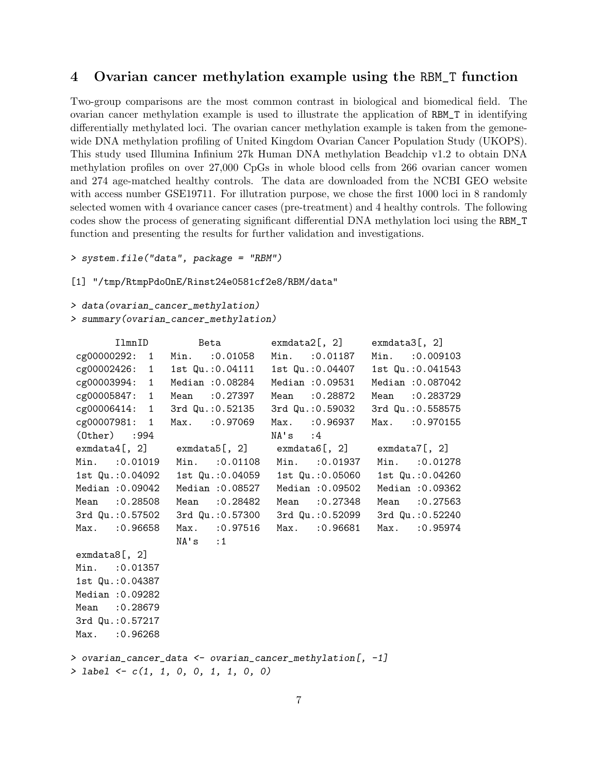#### <span id="page-6-0"></span>4 Ovarian cancer methylation example using the RBM\_T function

Two-group comparisons are the most common contrast in biological and biomedical field. The ovarian cancer methylation example is used to illustrate the application of RBM\_T in identifying differentially methylated loci. The ovarian cancer methylation example is taken from the gemonewide DNA methylation profiling of United Kingdom Ovarian Cancer Population Study (UKOPS). This study used Illumina Infinium 27k Human DNA methylation Beadchip v1.2 to obtain DNA methylation profiles on over 27,000 CpGs in whole blood cells from 266 ovarian cancer women and 274 age-matched healthy controls. The data are downloaded from the NCBI GEO website with access number GSE19711. For illutration purpose, we chose the first 1000 loci in 8 randomly selected women with 4 ovariance cancer cases (pre-treatment) and 4 healthy controls. The following codes show the process of generating significant differential DNA methylation loci using the RBM\_T function and presenting the results for further validation and investigations.

```
> system.file("data", package = "RBM")
```
[1] "/tmp/RtmpPdoOnE/Rinst24e0581cf2e8/RBM/data"

```
> data(ovarian_cancer_methylation)
```

```
> summary(ovarian_cancer_methylation)
```

| IlmnID             | Beta                                                                                    | exmdata2[, 2]                     | $exmdata3[$ , 2]  |
|--------------------|-----------------------------------------------------------------------------------------|-----------------------------------|-------------------|
|                    | cg00000292: 1 Min. : 0.01058 Min. : 0.01187                                             |                                   | Min. : 0.009103   |
|                    | cg00002426: 1 1st Qu.:0.04111                                                           | 1st Qu.:0.04407                   | 1st Qu.: 0.041543 |
| cg00003994: 1      | Median :0.08284                                                                         | Median :0.09531                   | Median : 0.087042 |
|                    | cg00005847: 1 Mean :0.27397                                                             | Mean :0.28872                     | Mean : 0.283729   |
|                    | cg00006414: 1 3rd Qu.:0.52135                                                           | 3rd Qu.:0.59032                   | 3rd Qu.: 0.558575 |
|                    | cg00007981: 1 Max. : 0.97069                                                            | Max. : 0.96937                    | Max. : 0.970155   |
| $(0$ ther $)$ :994 |                                                                                         | $NA$ s : 4                        |                   |
|                    | $ext{ewmdata4}$ [, 2] $ext{ewmdata5}$ [, 2] $ext{ewmdata6}$ [, 2] $ext{ewmdata7}$ [, 2] |                                   |                   |
| Min. : 0.01019     |                                                                                         | Min. : 0.01108 Min. : 0.01937     | Min. : 0.01278    |
| 1st Qu.: 0.04092   |                                                                                         | 1st Qu.: 0.04059 1st Qu.: 0.05060 | 1st Qu.: 0.04260  |
| Median : 0.09042   |                                                                                         | Median : 0.08527 Median : 0.09502 | Median : 0.09362  |
| Mean : 0.28508     |                                                                                         | Mean : 0.28482 Mean : 0.27348     | Mean : 0.27563    |
| 3rd Qu.:0.57502    | 3rd Qu.:0.57300                                                                         | 3rd Qu.: 0.52099                  | 3rd Qu.: 0.52240  |
| Max. : 0.96658     | Max. : 0.97516                                                                          | Max. : 0.96681                    | Max. : 0.95974    |
|                    | $NA$ 's :1                                                                              |                                   |                   |
| $ext{emdata8[, 2}$ |                                                                                         |                                   |                   |
| Min. : 0.01357     |                                                                                         |                                   |                   |
| 1st Qu.: 0.04387   |                                                                                         |                                   |                   |
| Median : 0.09282   |                                                                                         |                                   |                   |
| Mean : 0.28679     |                                                                                         |                                   |                   |
| 3rd Qu.: 0.57217   |                                                                                         |                                   |                   |
| Max. : 0.96268     |                                                                                         |                                   |                   |
|                    |                                                                                         |                                   |                   |
|                    | > ovarian_cancer_data <- ovarian_cancer_methylation[, -1]                               |                                   |                   |
|                    | > label <- $c(1, 1, 0, 0, 1, 1, 0, 0)$                                                  |                                   |                   |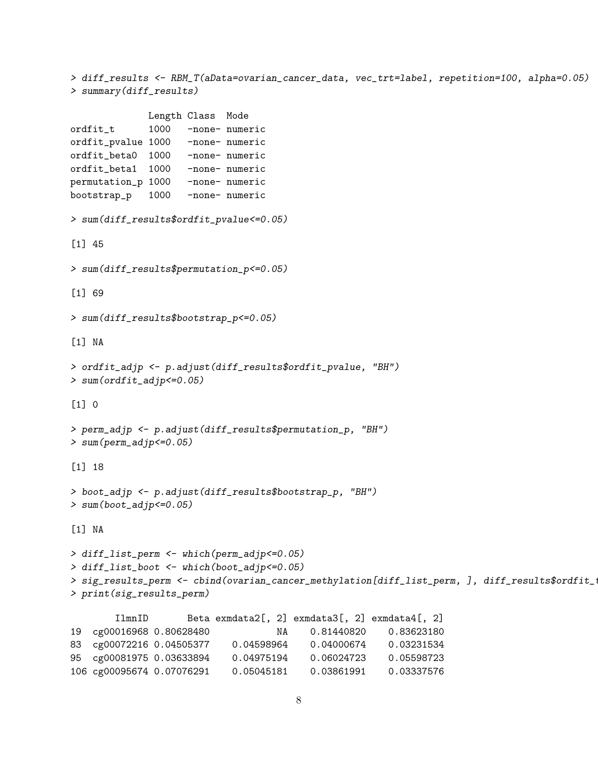> diff\_results <- RBM\_T(aData=ovarian\_cancer\_data, vec\_trt=label, repetition=100, alpha=0.05) > summary(diff\_results)

```
Length Class Mode
ordfit_t 1000 -none- numeric
ordfit_pvalue 1000 -none- numeric
ordfit_beta0 1000 -none- numeric
ordfit_beta1 1000 -none- numeric
permutation_p 1000 -none- numeric
bootstrap_p 1000 -none- numeric
> sum(diff_results$ordfit_pvalue<=0.05)
[1] 45
> sum(diff_results$permutation_p<=0.05)
[1] 69
> sum(diff_results$bootstrap_p<=0.05)
[1] NA
> ordfit_adjp <- p.adjust(diff_results$ordfit_pvalue, "BH")
> sum(ordfit_adjp<=0.05)
\begin{bmatrix} 1 \end{bmatrix} 0
> perm_adjp <- p.adjust(diff_results$permutation_p, "BH")
> sum(perm_adjp<=0.05)
[1] 18
> boot_adjp <- p.adjust(diff_results$bootstrap_p, "BH")
> sum(boot_adjp<=0.05)
[1] NA
> diff_list_perm <- which(perm_adjp<=0.05)
> diff_list_boot <- which(boot_adjp<=0.05)
> sig_results_perm <- cbind(ovarian_cancer_methylation[diff_list_perm, ], diff_results$ordfit_
> print(sig_results_perm)
       IlmnID Beta exmdata2[, 2] exmdata3[, 2] exmdata4[, 2]
19 cg00016968 0.80628480 NA 0.81440820 0.83623180
83 cg00072216 0.04505377 0.04598964 0.04000674 0.03231534
95 cg00081975 0.03633894 0.04975194 0.06024723 0.05598723
```
106 cg00095674 0.07076291 0.05045181 0.03861991 0.03337576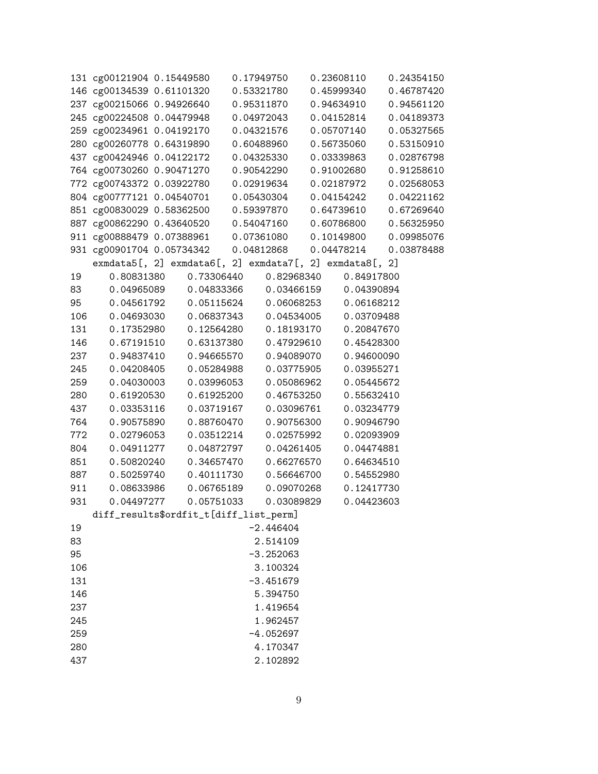|            | 131 cg00121904 0.15449580 0.17949750                                                                                                                                                                                          |                          |                          | 0.23608110 |                          | 0.24354150 |
|------------|-------------------------------------------------------------------------------------------------------------------------------------------------------------------------------------------------------------------------------|--------------------------|--------------------------|------------|--------------------------|------------|
|            | 146 cg00134539 0.61101320 0.53321780                                                                                                                                                                                          |                          |                          |            | 0.45999340               | 0.46787420 |
|            | 237 cg00215066 0.94926640 0.95311870                                                                                                                                                                                          |                          |                          |            | 0.94634910               | 0.94561120 |
|            | 245 cg00224508 0.04479948 0.04972043                                                                                                                                                                                          |                          |                          |            | 0.04152814               | 0.04189373 |
|            | 259 cg00234961 0.04192170 0.04321576                                                                                                                                                                                          |                          |                          |            | 0.05707140               | 0.05327565 |
|            | 280 cg00260778 0.64319890 0.60488960                                                                                                                                                                                          |                          |                          | 0.56735060 |                          | 0.53150910 |
|            | 437 cg00424946 0.04122172 0.04325330                                                                                                                                                                                          |                          |                          | 0.03339863 |                          | 0.02876798 |
|            | $437$ egobizine diversion in the set of the set of the set of the set of the set of the set of the set of the set of the set of the set of the set of the set of the set of the set of the set of the set of the set of the s |                          |                          | 0.91002680 |                          | 0.91258610 |
|            | 772 cg00743372 0.03922780 0.02919634                                                                                                                                                                                          |                          |                          |            | 0.02187972               | 0.02568053 |
|            | 804 cg00777121 0.04540701 0.05430304                                                                                                                                                                                          |                          |                          |            | 0.04154242               | 0.04221162 |
|            | 851 cg00830029 0.58362500  0.59397870  0.64739610<br>887 cg00862290 0.43640520  0.54047160  0.60786800                                                                                                                        |                          |                          |            |                          | 0.67269640 |
|            |                                                                                                                                                                                                                               |                          |                          |            |                          | 0.56325950 |
|            | 911 cg00888479 0.07388961  0.07361080  0.10149800                                                                                                                                                                             |                          |                          |            |                          | 0.09985076 |
|            | 931 cg00901704 0.05734342 0.04812868                                                                                                                                                                                          |                          |                          |            | 0.04478214               | 0.03878488 |
|            | exmdata5[, 2] exmdata6[, 2] exmdata7[, 2] exmdata8[, 2]                                                                                                                                                                       |                          |                          |            |                          |            |
| 19         | 0.80831380                                                                                                                                                                                                                    | 0.73306440               | 0.82968340               |            | 0.84917800               |            |
| 83         | 0.04965089   0.04833366   0.03466159                                                                                                                                                                                          |                          |                          |            | 0.04390894               |            |
| 95         | 0.04561792  0.05115624  0.06068253  0.06168212                                                                                                                                                                                |                          |                          |            |                          |            |
| 106        | 0.04693030  0.06837343  0.04534005  0.03709488                                                                                                                                                                                |                          |                          |            |                          |            |
| 131        | 0.17352980  0.12564280  0.18193170                                                                                                                                                                                            |                          |                          |            | 0.20847670               |            |
| 146        | 0.67191510                                                                                                                                                                                                                    | 0.63137380               | 0.47929610               |            | 0.45428300               |            |
| 237        | 0.94837410                                                                                                                                                                                                                    | 0.94665570               | 0.94089070               |            | 0.94600090               |            |
| 245        | 0.04208405                                                                                                                                                                                                                    | 0.05284988               | 0.03775905               |            | 0.03955271               |            |
| 259<br>280 | 0.04030003<br>0.61920530                                                                                                                                                                                                      | 0.03996053<br>0.61925200 | 0.05086962               |            | 0.05445672               |            |
| 437        |                                                                                                                                                                                                                               |                          | 0.46753250               |            | 0.55632410<br>0.03234779 |            |
| 764        | 0.03353116<br>0.90575890                                                                                                                                                                                                      | 0.03719167<br>0.88760470 | 0.03096761<br>0.90756300 |            | 0.90946790               |            |
| 772        | 0.02796053                                                                                                                                                                                                                    | 0.03512214               | 0.02575992               |            | 0.02093909               |            |
| 804        | 0.04911277                                                                                                                                                                                                                    | 0.04872797               | 0.04261405               |            | 0.04474881               |            |
| 851        | 0.50820240                                                                                                                                                                                                                    | 0.34657470               | 0.66276570               |            | 0.64634510               |            |
| 887        | 0.50259740                                                                                                                                                                                                                    | 0.40111730               | 0.56646700               |            | 0.54552980               |            |
| 911        | 0.08633986                                                                                                                                                                                                                    | 0.06765189               | 0.09070268               |            | 0.12417730               |            |
| 931        | 0.04497277                                                                                                                                                                                                                    | 0.05751033               | 0.03089829               |            | 0.04423603               |            |
|            | diff_results\$ordfit_t[diff_list_perm]                                                                                                                                                                                        |                          |                          |            |                          |            |
| 19         |                                                                                                                                                                                                                               |                          | $-2.446404$              |            |                          |            |
| 83         |                                                                                                                                                                                                                               |                          | 2.514109                 |            |                          |            |
| 95         |                                                                                                                                                                                                                               |                          | $-3.252063$              |            |                          |            |
| 106        |                                                                                                                                                                                                                               |                          | 3.100324                 |            |                          |            |
| 131        |                                                                                                                                                                                                                               |                          | $-3.451679$              |            |                          |            |
| 146        |                                                                                                                                                                                                                               |                          | 5.394750                 |            |                          |            |
| 237        |                                                                                                                                                                                                                               |                          | 1.419654                 |            |                          |            |
| 245        |                                                                                                                                                                                                                               |                          | 1.962457                 |            |                          |            |
| 259        |                                                                                                                                                                                                                               |                          | $-4.052697$              |            |                          |            |
| 280        |                                                                                                                                                                                                                               |                          | 4.170347                 |            |                          |            |
| 437        |                                                                                                                                                                                                                               |                          | 2.102892                 |            |                          |            |
|            |                                                                                                                                                                                                                               |                          |                          |            |                          |            |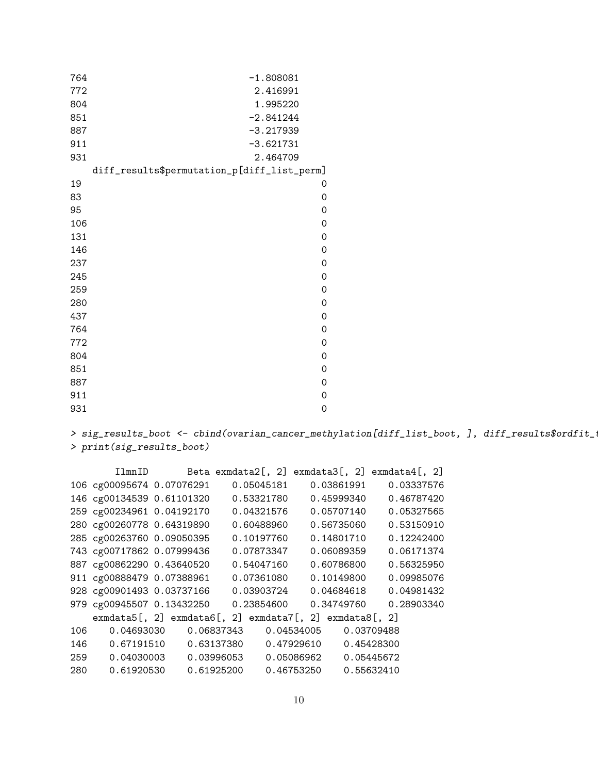| 764 | $-1.808081$                                 |
|-----|---------------------------------------------|
| 772 | 2.416991                                    |
| 804 | 1.995220                                    |
| 851 | $-2.841244$                                 |
| 887 | $-3.217939$                                 |
| 911 | $-3.621731$                                 |
| 931 | 2.464709                                    |
|     | diff_results\$permutation_p[diff_list_perm] |
| 19  | 0                                           |
| 83  | $\mathsf{O}\xspace$                         |
| 95  | $\mathsf{O}\xspace$                         |
| 106 | $\mathsf{O}\xspace$                         |
| 131 | $\mathsf{O}\xspace$                         |
| 146 | $\mathsf{O}\xspace$                         |
| 237 | $\mathsf{O}\xspace$                         |
| 245 | $\mathsf{O}\xspace$                         |
| 259 | $\mathsf{O}\xspace$                         |
| 280 | 0                                           |
| 437 | $\mathsf{O}\xspace$                         |
| 764 | $\mathsf{O}\xspace$                         |
| 772 | $\mathsf{O}\xspace$                         |
| 804 | $\mathsf{O}\xspace$                         |
| 851 | $\mathsf{O}\xspace$                         |
| 887 | $\mathbf 0$                                 |
| 911 | 0                                           |
| 931 | 0                                           |

 $\geq$  sig\_results\_boot  $\leq$  cbind(ovarian\_cancer\_methylation[diff\_list\_boot, ], diff\_results\$ordfit\_ $\leq$ > print(sig\_results\_boot)

|     | IlmnID                    |            | Beta exmdata2 $[$ , 2 $]$ exmdata3 $[$ , 2 $]$ exmdata4 $[$ , 2 $]$             |            |
|-----|---------------------------|------------|---------------------------------------------------------------------------------|------------|
|     | 106 cg00095674 0.07076291 | 0.05045181 | 0.03861991                                                                      | 0.03337576 |
|     | 146 cg00134539 0.61101320 | 0.53321780 | 0.45999340                                                                      | 0.46787420 |
|     | 259 cg00234961 0.04192170 | 0.04321576 | 0.05707140                                                                      | 0.05327565 |
|     | 280 cg00260778 0.64319890 | 0.60488960 | 0.56735060                                                                      | 0.53150910 |
|     | 285 cg00263760 0.09050395 | 0.10197760 | 0.14801710                                                                      | 0.12242400 |
|     | 743 cg00717862 0.07999436 | 0.07873347 | 0.06089359                                                                      | 0.06171374 |
|     | 887 cg00862290 0.43640520 | 0.54047160 | 0.60786800                                                                      | 0.56325950 |
|     | 911 cg00888479 0.07388961 | 0.07361080 | 0.10149800                                                                      | 0.09985076 |
|     | 928 cg00901493 0.03737166 | 0.03903724 | 0.04684618                                                                      | 0.04981432 |
|     | 979 cg00945507 0.13432250 | 0.23854600 | 0.34749760                                                                      | 0.28903340 |
|     |                           |            | $ext{ewmdata}$ , 2] $ext{ewmdata}$ , 2] $ext{ewmdata}$ , 2] $ext{ewmdata}$ , 2] |            |
| 106 | 0.04693030                | 0.06837343 | 0.04534005                                                                      | 0.03709488 |
| 146 | 0.67191510                | 0.63137380 | 0.47929610                                                                      | 0.45428300 |
| 259 | 0.04030003                | 0.03996053 | 0.05086962                                                                      | 0.05445672 |
| 280 | 0.61920530                | 0.61925200 | 0.46753250                                                                      | 0.55632410 |